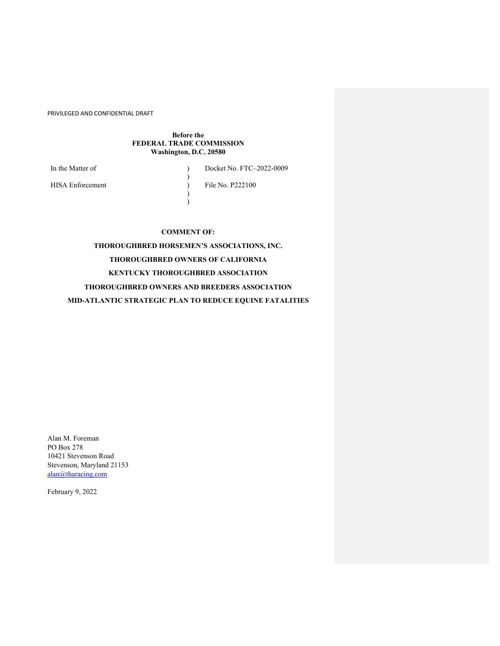## **Before the FEDERAL TRADE COMMISSION Washington, D.C. 20580**

)

)  $\lambda$ 

In the Matter of  $\qquad \qquad$  )

Docket No. FTC–2022-0009

File No. P222100

HISA Enforcement

**COMMENT OF:**

**THOROUGHBRED HORSEMEN'S ASSOCIATIONS, INC. THOROUGHBRED OWNERS OF CALIFORNIA KENTUCKY THOROUGHBRED ASSOCIATION THOROUGHBRED OWNERS AND BREEDERS ASSOCIATION MID-ATLANTIC STRATEGIC PLAN TO REDUCE EQUINE FATALITIES**

Alan M. Foreman PO Box 278 10421 Stevenson Road Stevenson, Maryland 21153 alan@tharacing.com

February 9, 2022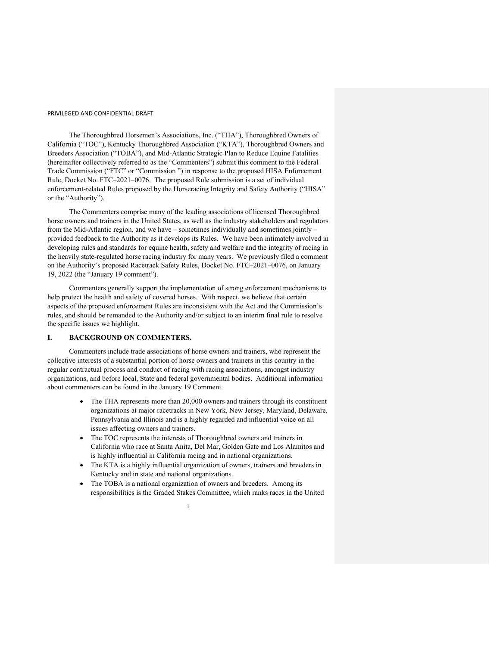The Thoroughbred Horsemen's Associations, Inc. ("THA"), Thoroughbred Owners of California ("TOC"), Kentucky Thoroughbred Association ("KTA"), Thoroughbred Owners and Breeders Association ("TOBA"), and Mid-Atlantic Strategic Plan to Reduce Equine Fatalities (hereinafter collectively referred to as the "Commenters") submit this comment to the Federal Trade Commission ("FTC" or "Commission ") in response to the proposed HISA Enforcement Rule, Docket No. FTC–2021–0076. The proposed Rule submission is a set of individual enforcement-related Rules proposed by the Horseracing Integrity and Safety Authority ("HISA" or the "Authority").

The Commenters comprise many of the leading associations of licensed Thoroughbred horse owners and trainers in the United States, as well as the industry stakeholders and regulators from the Mid-Atlantic region, and we have – sometimes individually and sometimes jointly – provided feedback to the Authority as it develops its Rules. We have been intimately involved in developing rules and standards for equine health, safety and welfare and the integrity of racing in the heavily state-regulated horse racing industry for many years. We previously filed a comment on the Authority's proposed Racetrack Safety Rules, Docket No. FTC–2021–0076, on January 19, 2022 (the "January 19 comment").

Commenters generally support the implementation of strong enforcement mechanisms to help protect the health and safety of covered horses. With respect, we believe that certain aspects of the proposed enforcement Rules are inconsistent with the Act and the Commission's rules, and should be remanded to the Authority and/or subject to an interim final rule to resolve the specific issues we highlight.

# **I. BACKGROUND ON COMMENTERS.**

Commenters include trade associations of horse owners and trainers, who represent the collective interests of a substantial portion of horse owners and trainers in this country in the regular contractual process and conduct of racing with racing associations, amongst industry organizations, and before local, State and federal governmental bodies. Additional information about commenters can be found in the January 19 Comment.

- The THA represents more than 20,000 owners and trainers through its constituent organizations at major racetracks in New York, New Jersey, Maryland, Delaware, Pennsylvania and Illinois and is a highly regarded and influential voice on all issues affecting owners and trainers.
- The TOC represents the interests of Thoroughbred owners and trainers in California who race at Santa Anita, Del Mar, Golden Gate and Los Alamitos and is highly influential in California racing and in national organizations.
- The KTA is a highly influential organization of owners, trainers and breeders in Kentucky and in state and national organizations.
- The TOBA is a national organization of owners and breeders. Among its responsibilities is the Graded Stakes Committee, which ranks races in the United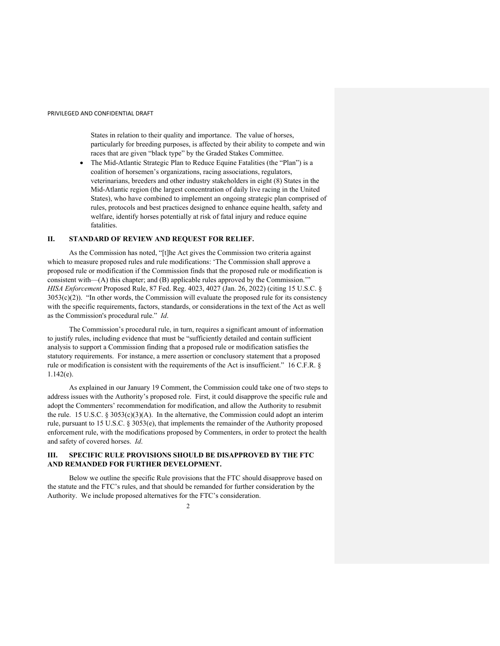States in relation to their quality and importance. The value of horses, particularly for breeding purposes, is affected by their ability to compete and win races that are given "black type" by the Graded Stakes Committee.

• The Mid-Atlantic Strategic Plan to Reduce Equine Fatalities (the "Plan") is a coalition of horsemen's organizations, racing associations, regulators, veterinarians, breeders and other industry stakeholders in eight (8) States in the Mid-Atlantic region (the largest concentration of daily live racing in the United States), who have combined to implement an ongoing strategic plan comprised of rules, protocols and best practices designed to enhance equine health, safety and welfare, identify horses potentially at risk of fatal injury and reduce equine **fatalities** 

## **II. STANDARD OF REVIEW AND REQUEST FOR RELIEF.**

As the Commission has noted, "[t]he Act gives the Commission two criteria against which to measure proposed rules and rule modifications: 'The Commission shall approve a proposed rule or modification if the Commission finds that the proposed rule or modification is consistent with—(A) this chapter; and (B) applicable rules approved by the Commission.'" *HISA Enforcement* Proposed Rule, 87 Fed. Reg. 4023, 4027 (Jan. 26, 2022) (citing 15 U.S.C. §  $3053(c)(2)$ ). "In other words, the Commission will evaluate the proposed rule for its consistency with the specific requirements, factors, standards, or considerations in the text of the Act as well as the Commission's procedural rule." *Id*.

The Commission's procedural rule, in turn, requires a significant amount of information to justify rules, including evidence that must be "sufficiently detailed and contain sufficient analysis to support a Commission finding that a proposed rule or modification satisfies the statutory requirements. For instance, a mere assertion or conclusory statement that a proposed rule or modification is consistent with the requirements of the Act is insufficient." 16 C.F.R. § 1.142(e).

As explained in our January 19 Comment, the Commission could take one of two steps to address issues with the Authority's proposed role. First, it could disapprove the specific rule and adopt the Commenters' recommendation for modification, and allow the Authority to resubmit the rule. 15 U.S.C.  $\S 3053(c)(3)(A)$ . In the alternative, the Commission could adopt an interim rule, pursuant to 15 U.S.C. § 3053(e), that implements the remainder of the Authority proposed enforcement rule, with the modifications proposed by Commenters, in order to protect the health and safety of covered horses. *Id*.

# **III. SPECIFIC RULE PROVISIONS SHOULD BE DISAPPROVED BY THE FTC AND REMANDED FOR FURTHER DEVELOPMENT.**

Below we outline the specific Rule provisions that the FTC should disapprove based on the statute and the FTC's rules, and that should be remanded for further consideration by the Authority. We include proposed alternatives for the FTC's consideration.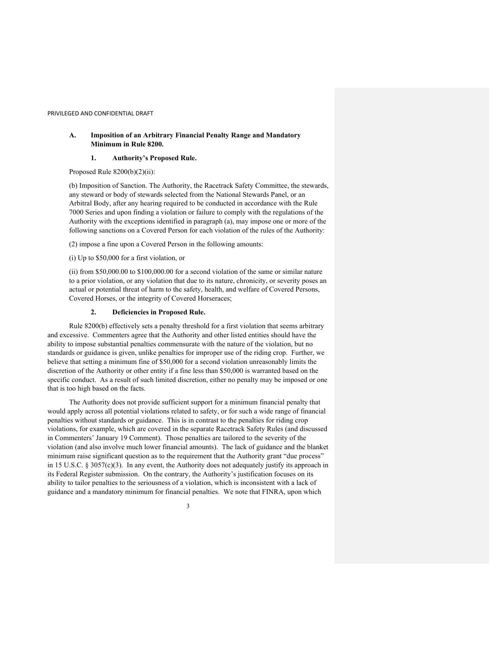# **A. Imposition of an Arbitrary Financial Penalty Range and Mandatory Minimum in Rule 8200.**

## **1. Authority's Proposed Rule.**

Proposed Rule  $8200(b)(2)(ii)$ :

(b) Imposition of Sanction. The Authority, the Racetrack Safety Committee, the stewards, any steward or body of stewards selected from the National Stewards Panel, or an Arbitral Body, after any hearing required to be conducted in accordance with the Rule 7000 Series and upon finding a violation or failure to comply with the regulations of the Authority with the exceptions identified in paragraph (a), may impose one or more of the following sanctions on a Covered Person for each violation of the rules of the Authority:

(2) impose a fine upon a Covered Person in the following amounts:

(i) Up to \$50,000 for a first violation, or

(ii) from \$50,000.00 to \$100,000.00 for a second violation of the same or similar nature to a prior violation, or any violation that due to its nature, chronicity, or severity poses an actual or potential threat of harm to the safety, health, and welfare of Covered Persons, Covered Horses, or the integrity of Covered Horseraces;

### **2. Deficiencies in Proposed Rule.**

Rule 8200(b) effectively sets a penalty threshold for a first violation that seems arbitrary and excessive. Commenters agree that the Authority and other listed entities should have the ability to impose substantial penalties commensurate with the nature of the violation, but no standards or guidance is given, unlike penalties for improper use of the riding crop. Further, we believe that setting a minimum fine of \$50,000 for a second violation unreasonably limits the discretion of the Authority or other entity if a fine less than \$50,000 is warranted based on the specific conduct. As a result of such limited discretion, either no penalty may be imposed or one that is too high based on the facts.

The Authority does not provide sufficient support for a minimum financial penalty that would apply across all potential violations related to safety, or for such a wide range of financial penalties without standards or guidance. This is in contrast to the penalties for riding crop violations, for example, which are covered in the separate Racetrack Safety Rules (and discussed in Commenters' January 19 Comment). Those penalties are tailored to the severity of the violation (and also involve much lower financial amounts). The lack of guidance and the blanket minimum raise significant question as to the requirement that the Authority grant "due process" in 15 U.S.C.  $\S 3057(c)(3)$ . In any event, the Authority does not adequately justify its approach in its Federal Register submission. On the contrary, the Authority's justification focuses on its ability to tailor penalties to the seriousness of a violation, which is inconsistent with a lack of guidance and a mandatory minimum for financial penalties. We note that FINRA, upon which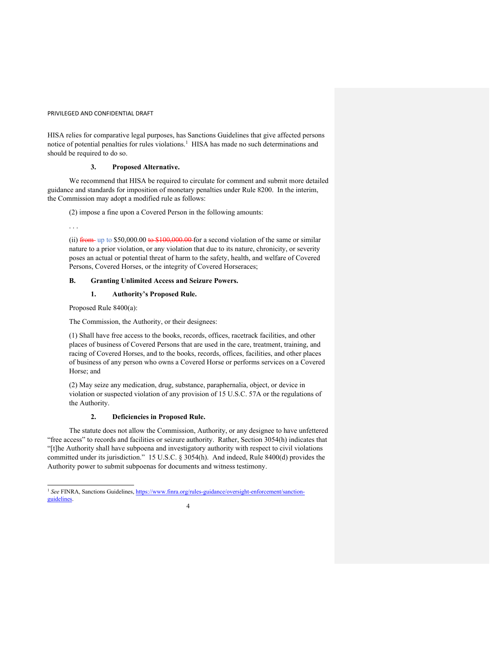HISA relies for comparative legal purposes, has Sanctions Guidelines that give affected persons notice of potential penalties for rules violations.<sup>1</sup> HISA has made no such determinations and should be required to do so.

# **3. Proposed Alternative.**

We recommend that HISA be required to circulate for comment and submit more detailed guidance and standards for imposition of monetary penalties under Rule 8200. In the interim, the Commission may adopt a modified rule as follows:

(2) impose a fine upon a Covered Person in the following amounts:

(ii)  $f$ rom up to \$50,000.00 to \$100,000.00 for a second violation of the same or similar nature to a prior violation, or any violation that due to its nature, chronicity, or severity poses an actual or potential threat of harm to the safety, health, and welfare of Covered Persons, Covered Horses, or the integrity of Covered Horseraces;

### **B. Granting Unlimited Access and Seizure Powers.**

**1. Authority's Proposed Rule.**

Proposed Rule 8400(a):

. . .

The Commission, the Authority, or their designees:

(1) Shall have free access to the books, records, offices, racetrack facilities, and other places of business of Covered Persons that are used in the care, treatment, training, and racing of Covered Horses, and to the books, records, offices, facilities, and other places of business of any person who owns a Covered Horse or performs services on a Covered Horse; and

(2) May seize any medication, drug, substance, paraphernalia, object, or device in violation or suspected violation of any provision of 15 U.S.C. 57A or the regulations of the Authority.

# **2. Deficiencies in Proposed Rule.**

The statute does not allow the Commission, Authority, or any designee to have unfettered "free access" to records and facilities or seizure authority. Rather, Section 3054(h) indicates that "[t]he Authority shall have subpoena and investigatory authority with respect to civil violations committed under its jurisdiction." 15 U.S.C. § 3054(h). And indeed, Rule 8400(d) provides the Authority power to submit subpoenas for documents and witness testimony.

<sup>4</sup> <sup>1</sup> See FINRA, Sanctions Guidelines, https://www.finra.org/rules-guidance/oversight-enforcement/sanctionguidelines.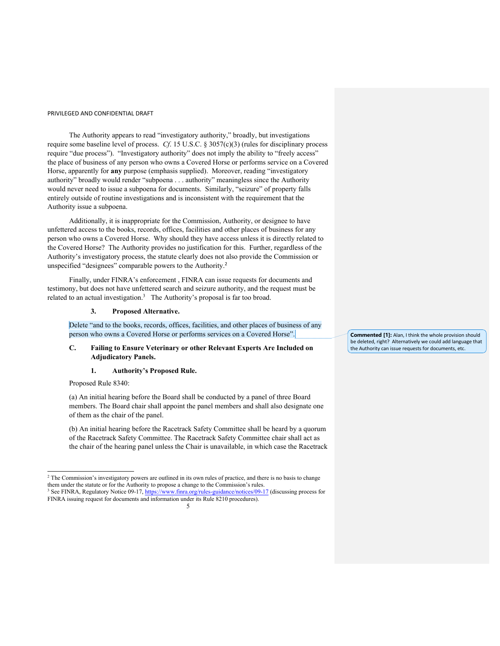The Authority appears to read "investigatory authority," broadly, but investigations require some baseline level of process. *Cf*. 15 U.S.C. § 3057(c)(3) (rules for disciplinary process require "due process"). "Investigatory authority" does not imply the ability to "freely access" the place of business of any person who owns a Covered Horse or performs service on a Covered Horse, apparently for **any** purpose (emphasis supplied). Moreover, reading "investigatory authority" broadly would render "subpoena . . . authority" meaningless since the Authority would never need to issue a subpoena for documents. Similarly, "seizure" of property falls entirely outside of routine investigations and is inconsistent with the requirement that the Authority issue a subpoena.

Additionally, it is inappropriate for the Commission, Authority, or designee to have unfettered access to the books, records, offices, facilities and other places of business for any person who owns a Covered Horse. Why should they have access unless it is directly related to the Covered Horse? The Authority provides no justification for this. Further, regardless of the Authority's investigatory process, the statute clearly does not also provide the Commission or unspecified "designees" comparable powers to the Authority.<sup>2</sup>

Finally, under FINRA's enforcement , FINRA can issue requests for documents and testimony, but does not have unfettered search and seizure authority, and the request must be related to an actual investigation.<sup>3</sup> The Authority's proposal is far too broad.

## **3. Proposed Alternative.**

Delete "and to the books, records, offices, facilities, and other places of business of any person who owns a Covered Horse or performs services on a Covered Horse".

# **C. Failing to Ensure Veterinary or other Relevant Experts Are Included on Adjudicatory Panels.**

#### **1. Authority's Proposed Rule.**

Proposed Rule 8340:

(a) An initial hearing before the Board shall be conducted by a panel of three Board members. The Board chair shall appoint the panel members and shall also designate one of them as the chair of the panel.

(b) An initial hearing before the Racetrack Safety Committee shall be heard by a quorum of the Racetrack Safety Committee. The Racetrack Safety Committee chair shall act as the chair of the hearing panel unless the Chair is unavailable, in which case the Racetrack

**Commented [1]:** Alan, I think the whole provision should be deleted, right? Alternatively we could add language that the Authority can issue requests for documents, etc.

<sup>&</sup>lt;sup>2</sup> The Commission's investigatory powers are outlined in its own rules of practice, and there is no basis to change them under the statute or for the Authority to propose a change to the Commission's rules.

<sup>5</sup> <sup>3</sup> See FINRA, Regulatory Notice 09-17, https://www.finra.org/rules-guidance/notices/09-17 (discussing process for FINRA issuing request for documents and information under its Rule 8210 procedures).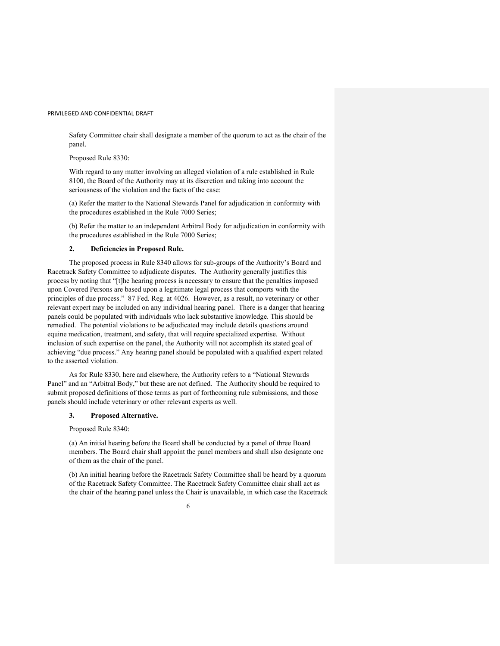Safety Committee chair shall designate a member of the quorum to act as the chair of the panel.

Proposed Rule 8330:

With regard to any matter involving an alleged violation of a rule established in Rule 8100, the Board of the Authority may at its discretion and taking into account the seriousness of the violation and the facts of the case:

(a) Refer the matter to the National Stewards Panel for adjudication in conformity with the procedures established in the Rule 7000 Series;

(b) Refer the matter to an independent Arbitral Body for adjudication in conformity with the procedures established in the Rule 7000 Series;

#### **2. Deficiencies in Proposed Rule.**

The proposed process in Rule 8340 allows for sub-groups of the Authority's Board and Racetrack Safety Committee to adjudicate disputes. The Authority generally justifies this process by noting that "[t]he hearing process is necessary to ensure that the penalties imposed upon Covered Persons are based upon a legitimate legal process that comports with the principles of due process." 87 Fed. Reg. at 4026. However, as a result, no veterinary or other relevant expert may be included on any individual hearing panel. There is a danger that hearing panels could be populated with individuals who lack substantive knowledge. This should be remedied. The potential violations to be adjudicated may include details questions around equine medication, treatment, and safety, that will require specialized expertise. Without inclusion of such expertise on the panel, the Authority will not accomplish its stated goal of achieving "due process." Any hearing panel should be populated with a qualified expert related to the asserted violation.

As for Rule 8330, here and elsewhere, the Authority refers to a "National Stewards Panel" and an "Arbitral Body," but these are not defined. The Authority should be required to submit proposed definitions of those terms as part of forthcoming rule submissions, and those panels should include veterinary or other relevant experts as well.

### **3. Proposed Alternative.**

Proposed Rule 8340:

(a) An initial hearing before the Board shall be conducted by a panel of three Board members. The Board chair shall appoint the panel members and shall also designate one of them as the chair of the panel.

(b) An initial hearing before the Racetrack Safety Committee shall be heard by a quorum of the Racetrack Safety Committee. The Racetrack Safety Committee chair shall act as the chair of the hearing panel unless the Chair is unavailable, in which case the Racetrack